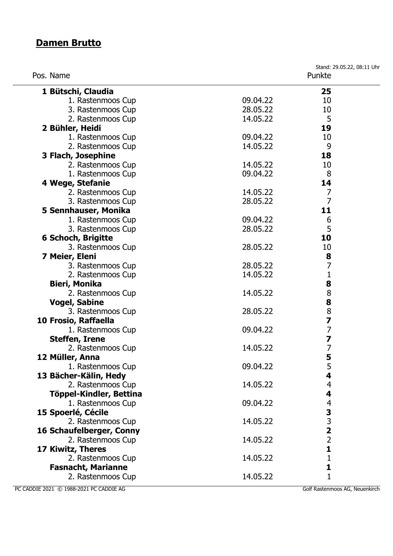#### **Damen Brutto**

Stand: 29.05.22, 08:11 Uhr Pos. Name Punkte **1 Bütschi, Claudia 25** 1. Rastenmoos Cup 09.04.22 10 3. Rastenmoos Cup 28.05.22 10 2. Rastenmoos Cup 14.05.22 5 **2 Bühler, Heidi 19** 1. Rastenmoos Cup 09.04.22 10 2. Rastenmoos Cup 14.05.22 9 **3 Flach, Josephine 18** 2. Rastenmoos Cup 14.05.22 10 1. Rastenmoos Cup 09.04.22 8 **4 Wege, Stefanie 14** 2. Rastenmoos Cup 14.05.22 7 3. Rastenmoos Cup 28.05.22 7 **5 Sennhauser, Monika 11** 1. Rastenmoos Cup 09.04.22 6 3. Rastenmoos Cup 28.05.22 5 **6 Schoch, Brigitte 10** 3. Rastenmoos Cup 28.05.22 10 **7 Meier, Eleni 8** 3. Rastenmoos Cup 28.05.22 7 2. Rastenmoos Cup 14.05.22 1 **Bieri, Monika 8** 2. Rastenmoos Cup 14.05.22 8 **Vogel, Sabine 8** 3. Rastenmoos Cup 28.05.22 8 **10 Frosio, Raffaella 7** 1. Rastenmoos Cup 09.04.22 7 **Steffen, Irene 7** 2. Rastenmoos Cup 14.05.22 7 **12 Müller, Anna 5** 1. Rastenmoos Cup 09.04.22 5 **13 Bächer-Kälin, Hedy 4** 2. Rastenmoos Cup 14.05.22 4 **Töppel-Kindler, Bettina 4** 1. Rastenmoos Cup 09.04.22 4 **15 Spoerlé, Cécile 3** 2. Rastenmoos Cup 14.05.22 3 **16 Schaufelberger, Conny 2** 2. Rastenmoos Cup 14.05.22  $\overline{2}$ **17 Kiwitz, Theres 1** 2. Rastenmoos Cup 14.05.22 1 **Fasnacht, Marianne 1** 2. Rastenmoos Cup 14.05.22 1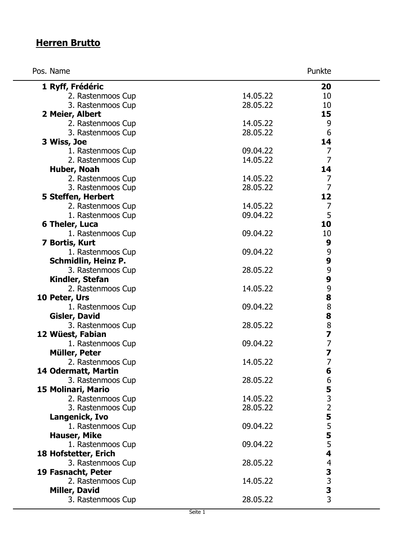### **Herren Brutto**

| Pos. Name                  |          | Punkte                       |
|----------------------------|----------|------------------------------|
| 1 Ryff, Frédéric           |          | 20                           |
| 2. Rastenmoos Cup          | 14.05.22 | 10                           |
| 3. Rastenmoos Cup          | 28.05.22 | 10                           |
| 2 Meier, Albert            |          | 15                           |
| 2. Rastenmoos Cup          | 14.05.22 | 9                            |
| 3. Rastenmoos Cup          | 28.05.22 | $6\,$                        |
| 3 Wiss, Joe                |          | 14                           |
| 1. Rastenmoos Cup          | 09.04.22 | $\overline{7}$               |
| 2. Rastenmoos Cup          | 14.05.22 | $\overline{7}$               |
| Huber, Noah                |          | 14                           |
| 2. Rastenmoos Cup          | 14.05.22 | $\overline{7}$               |
| 3. Rastenmoos Cup          | 28.05.22 | $\overline{7}$               |
| 5 Steffen, Herbert         |          | 12                           |
| 2. Rastenmoos Cup          | 14.05.22 | $\overline{7}$               |
| 1. Rastenmoos Cup          | 09.04.22 | 5                            |
| 6 Theler, Luca             |          | 10                           |
| 1. Rastenmoos Cup          | 09.04.22 | 10                           |
| 7 Bortis, Kurt             |          | 9                            |
| 1. Rastenmoos Cup          | 09.04.22 |                              |
| <b>Schmidlin, Heinz P.</b> |          | $9$<br>9                     |
| 3. Rastenmoos Cup          | 28.05.22 | 9                            |
| Kindler, Stefan            |          | 9                            |
| 2. Rastenmoos Cup          | 14.05.22 | 9                            |
| 10 Peter, Urs              |          | 8                            |
| 1. Rastenmoos Cup          | 09.04.22 | $\bf 8$                      |
| <b>Gisler, David</b>       |          | 8                            |
| 3. Rastenmoos Cup          | 28.05.22 | $\bf 8$                      |
| 12 Wüest, Fabian           |          | 7                            |
| 1. Rastenmoos Cup          | 09.04.22 | $\overline{7}$               |
| Müller, Peter              |          | 7                            |
| 2. Rastenmoos Cup          | 14.05.22 | 7                            |
| 14 Odermatt, Martin        |          | 6                            |
| 3. Rastenmoos Cup          | 28.05.22 | 6                            |
| 15 Molinari, Mario         |          |                              |
| 2. Rastenmoos Cup          | 14.05.22 | $\frac{5}{3}$                |
| 3. Rastenmoos Cup          | 28.05.22 |                              |
| Langenick, Ivo             |          |                              |
| 1. Rastenmoos Cup          | 09.04.22 |                              |
| <b>Hauser, Mike</b>        |          | 5555                         |
| 1. Rastenmoos Cup          | 09.04.22 |                              |
| 18 Hofstetter, Erich       |          | 4                            |
| 3. Rastenmoos Cup          | 28.05.22 |                              |
| 19 Fasnacht, Peter         |          |                              |
| 2. Rastenmoos Cup          | 14.05.22 |                              |
| Miller, David              |          | $4$<br>3<br>3<br>3<br>3<br>3 |
| 3. Rastenmoos Cup          | 28.05.22 |                              |
|                            |          |                              |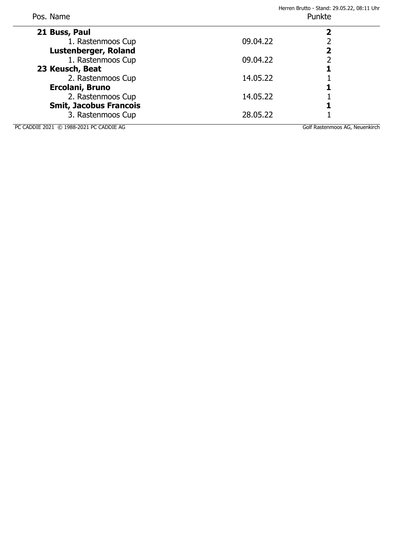| Pos. Name                               |          | Herren Brutto - Stand: 29.05.22, 08:11 Uhr<br>Punkte |  |
|-----------------------------------------|----------|------------------------------------------------------|--|
| 21 Buss, Paul                           |          |                                                      |  |
| 1. Rastenmoos Cup                       | 09.04.22 |                                                      |  |
| Lustenberger, Roland                    |          |                                                      |  |
| 1. Rastenmoos Cup                       | 09.04.22 |                                                      |  |
| 23 Keusch, Beat                         |          |                                                      |  |
| 2. Rastenmoos Cup                       | 14.05.22 |                                                      |  |
| Ercolani, Bruno                         |          |                                                      |  |
| 2. Rastenmoos Cup                       | 14.05.22 |                                                      |  |
| <b>Smit, Jacobus Francois</b>           |          |                                                      |  |
| 3. Rastenmoos Cup                       | 28.05.22 |                                                      |  |
| PC CADDIE 2021 © 1988-2021 PC CADDIE AG |          | Golf Rastenmoos AG, Neuenkirch                       |  |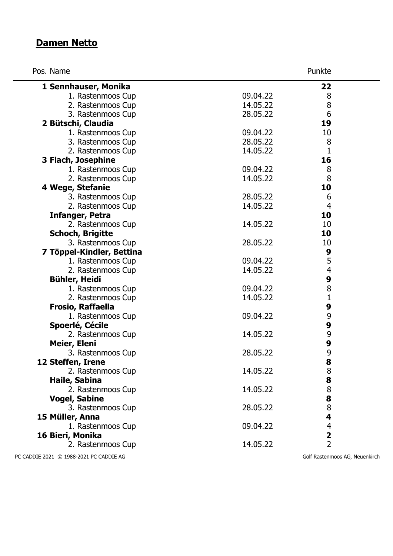## **Damen Netto**

Pos. Name Punkte

|  | K |  |
|--|---|--|
|  |   |  |

| 1 Sennhauser, Monika      |          | 22             |  |
|---------------------------|----------|----------------|--|
| 1. Rastenmoos Cup         | 09.04.22 | 8              |  |
| 2. Rastenmoos Cup         | 14.05.22 | 8              |  |
| 3. Rastenmoos Cup         | 28.05.22 | 6              |  |
| 2 Bütschi, Claudia        |          | 19             |  |
| 1. Rastenmoos Cup         | 09.04.22 | 10             |  |
| 3. Rastenmoos Cup         | 28.05.22 | 8              |  |
| 2. Rastenmoos Cup         | 14.05.22 | $\mathbf{1}$   |  |
| 3 Flach, Josephine        |          | 16             |  |
| 1. Rastenmoos Cup         | 09.04.22 | 8              |  |
| 2. Rastenmoos Cup         | 14.05.22 | 8              |  |
| 4 Wege, Stefanie          |          | 10             |  |
| 3. Rastenmoos Cup         | 28.05.22 | 6              |  |
| 2. Rastenmoos Cup         | 14.05.22 | $\overline{4}$ |  |
| <b>Infanger, Petra</b>    |          | 10             |  |
| 2. Rastenmoos Cup         | 14.05.22 | 10             |  |
| <b>Schoch, Brigitte</b>   |          | 10             |  |
| 3. Rastenmoos Cup         | 28.05.22 | 10             |  |
| 7 Töppel-Kindler, Bettina |          | 9              |  |
| 1. Rastenmoos Cup         | 09.04.22 | 5              |  |
| 2. Rastenmoos Cup         | 14.05.22 | $\overline{4}$ |  |
| Bühler, Heidi             |          | 9              |  |
| 1. Rastenmoos Cup         | 09.04.22 | 8              |  |
| 2. Rastenmoos Cup         | 14.05.22 | $\mathbf{1}$   |  |
| <b>Frosio, Raffaella</b>  |          | 9              |  |
| 1. Rastenmoos Cup         | 09.04.22 | 9              |  |
| Spoerlé, Cécile           |          | 9              |  |
| 2. Rastenmoos Cup         | 14.05.22 | 9              |  |
| Meier, Eleni              |          | 9              |  |
| 3. Rastenmoos Cup         | 28.05.22 | 9              |  |
| 12 Steffen, Irene         |          | 8              |  |
| 2. Rastenmoos Cup         | 14.05.22 | $\bf 8$        |  |
| Haile, Sabina             |          | 8              |  |
| 2. Rastenmoos Cup         | 14.05.22 | 8              |  |
| <b>Vogel, Sabine</b>      |          | 8              |  |
| 3. Rastenmoos Cup         | 28.05.22 | $\bf 8$        |  |
| 15 Müller, Anna           |          | 4              |  |
| 1. Rastenmoos Cup         | 09.04.22 | $\overline{4}$ |  |
| 16 Bieri, Monika          |          | 2              |  |
| 2. Rastenmoos Cup         | 14.05.22 | $\overline{2}$ |  |
|                           |          |                |  |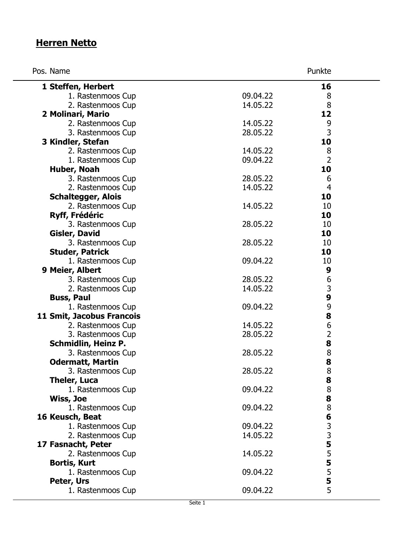# **Herren Netto**

| Pos. Name                  |          | Punkte         |
|----------------------------|----------|----------------|
| 1 Steffen, Herbert         |          | 16             |
| 1. Rastenmoos Cup          | 09.04.22 | 8              |
| 2. Rastenmoos Cup          | 14.05.22 | 8              |
| 2 Molinari, Mario          |          | 12             |
| 2. Rastenmoos Cup          | 14.05.22 | 9              |
| 3. Rastenmoos Cup          | 28.05.22 | 3              |
| 3 Kindler, Stefan          |          | 10             |
| 2. Rastenmoos Cup          | 14.05.22 | 8              |
| 1. Rastenmoos Cup          | 09.04.22 | $\overline{2}$ |
| Huber, Noah                |          | 10             |
| 3. Rastenmoos Cup          | 28.05.22 | 6              |
| 2. Rastenmoos Cup          | 14.05.22 | $\overline{4}$ |
| <b>Schaltegger, Alois</b>  |          | 10             |
| 2. Rastenmoos Cup          | 14.05.22 | 10             |
| <b>Ryff, Frédéric</b>      |          | 10             |
| 3. Rastenmoos Cup          | 28.05.22 | 10             |
| <b>Gisler, David</b>       |          | 10             |
| 3. Rastenmoos Cup          | 28.05.22 | 10             |
| <b>Studer, Patrick</b>     |          | 10             |
| 1. Rastenmoos Cup          | 09.04.22 | 10             |
| 9 Meier, Albert            |          | 9              |
| 3. Rastenmoos Cup          | 28.05.22 | 6              |
| 2. Rastenmoos Cup          | 14.05.22 | $\frac{3}{9}$  |
| <b>Buss, Paul</b>          |          |                |
| 1. Rastenmoos Cup          | 09.04.22 |                |
| 11 Smit, Jacobus Francois  |          | 98628          |
| 2. Rastenmoos Cup          | 14.05.22 |                |
| 3. Rastenmoos Cup          | 28.05.22 |                |
| <b>Schmidlin, Heinz P.</b> |          |                |
| 3. Rastenmoos Cup          | 28.05.22 | 8              |
| <b>Odermatt, Martin</b>    |          | 8              |
| 3. Rastenmoos Cup          | 28.05.22 | 8              |
| <b>Theler, Luca</b>        |          | 8              |
| 1. Rastenmoos Cup          | 09.04.22 | $\frac{8}{8}$  |
| Wiss, Joe                  |          |                |
| 1. Rastenmoos Cup          | 09.04.22 |                |
| 16 Keusch, Beat            |          |                |
| 1. Rastenmoos Cup          | 09.04.22 |                |
| 2. Rastenmoos Cup          | 14.05.22 |                |
| 17 Fasnacht, Peter         |          | 863355555      |
| 2. Rastenmoos Cup          | 14.05.22 |                |
| <b>Bortis, Kurt</b>        |          |                |
| 1. Rastenmoos Cup          | 09.04.22 |                |
| Peter, Urs                 |          |                |
| 1. Rastenmoos Cup          | 09.04.22 | 5              |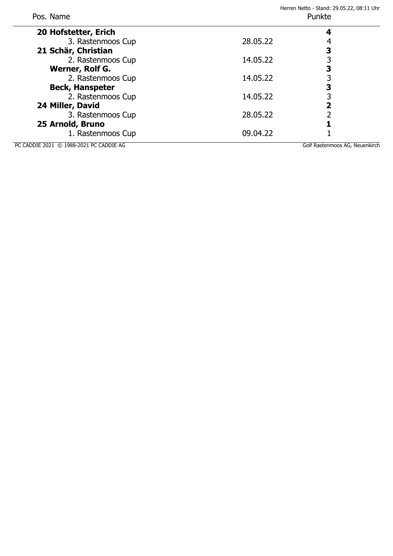| Pos. Name                               |          | Herren Netto - Stand: 29.05.22, 08:11 Uhr<br>Punkte |  |
|-----------------------------------------|----------|-----------------------------------------------------|--|
| 20 Hofstetter, Erich                    |          |                                                     |  |
| 3. Rastenmoos Cup                       | 28.05.22 |                                                     |  |
| 21 Schär, Christian                     |          | 3                                                   |  |
| 2. Rastenmoos Cup                       | 14.05.22 |                                                     |  |
| Werner, Rolf G.                         |          | 3                                                   |  |
| 2. Rastenmoos Cup                       | 14.05.22 |                                                     |  |
| <b>Beck, Hanspeter</b>                  |          | 3                                                   |  |
| 2. Rastenmoos Cup                       | 14.05.22 |                                                     |  |
| 24 Miller, David                        |          | 2                                                   |  |
| 3. Rastenmoos Cup                       | 28.05.22 |                                                     |  |
| 25 Arnold, Bruno                        |          |                                                     |  |
| 1. Rastenmoos Cup                       | 09.04.22 |                                                     |  |
| PC CADDIE 2021 © 1988-2021 PC CADDIE AG |          | Golf Rastenmoos AG, Neuenkirch                      |  |

 $\overline{a}$ 

 $\overline{a}$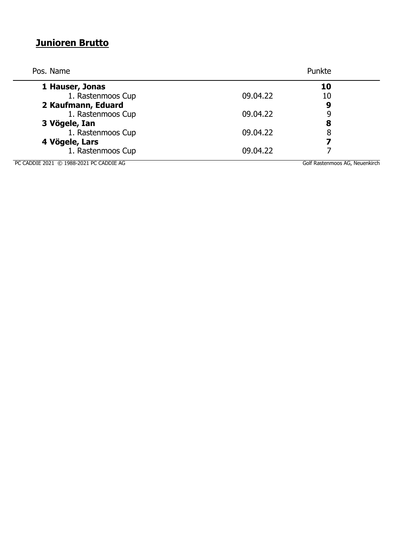# **Junioren Brutto**

| Pos. Name          |          | Punkte |  |
|--------------------|----------|--------|--|
| 1 Hauser, Jonas    |          | 10     |  |
| 1. Rastenmoos Cup  | 09.04.22 | 10     |  |
| 2 Kaufmann, Eduard |          | 9      |  |
| 1. Rastenmoos Cup  | 09.04.22 | 9      |  |
| 3 Vögele, Ian      |          | 8      |  |
| 1. Rastenmoos Cup  | 09.04.22 | 8      |  |
| 4 Vögele, Lars     |          | 7      |  |
| 1. Rastenmoos Cup  | 09.04.22 |        |  |